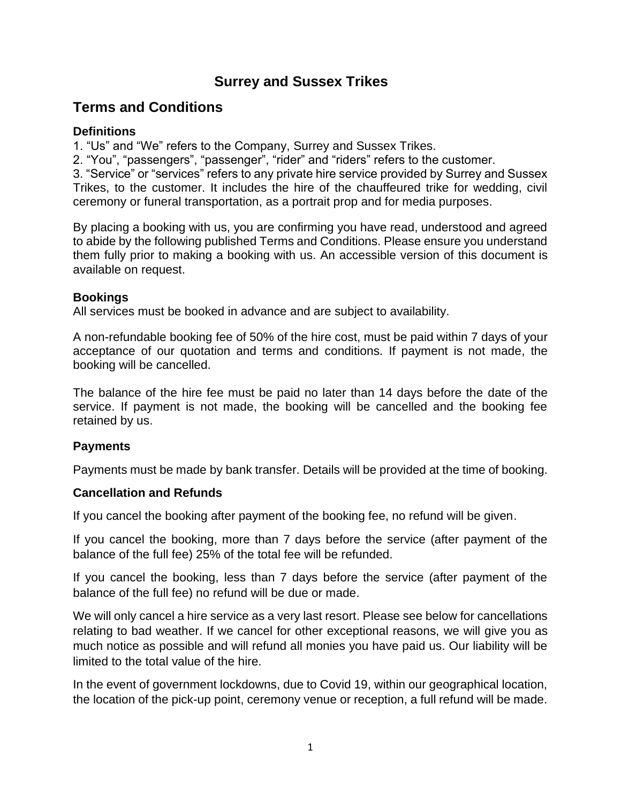## **Surrey and Sussex Trikes**

# **Terms and Conditions**

### **Definitions**

1. "Us" and "We" refers to the Company, Surrey and Sussex Trikes.

2. "You", "passengers", "passenger", "rider" and "riders" refers to the customer.

3. "Service" or "services" refers to any private hire service provided by Surrey and Sussex Trikes, to the customer. It includes the hire of the chauffeured trike for wedding, civil ceremony or funeral transportation, as a portrait prop and for media purposes.

By placing a booking with us, you are confirming you have read, understood and agreed to abide by the following published Terms and Conditions. Please ensure you understand them fully prior to making a booking with us. An accessible version of this document is available on request.

## **Bookings**

All services must be booked in advance and are subject to availability.

A non-refundable booking fee of 50% of the hire cost, must be paid within 7 days of your acceptance of our quotation and terms and conditions. If payment is not made, the booking will be cancelled.

The balance of the hire fee must be paid no later than 14 days before the date of the service. If payment is not made, the booking will be cancelled and the booking fee retained by us.

## **Payments**

Payments must be made by bank transfer. Details will be provided at the time of booking.

## **Cancellation and Refunds**

If you cancel the booking after payment of the booking fee, no refund will be given.

If you cancel the booking, more than 7 days before the service (after payment of the balance of the full fee) 25% of the total fee will be refunded.

If you cancel the booking, less than 7 days before the service (after payment of the balance of the full fee) no refund will be due or made.

We will only cancel a hire service as a very last resort. Please see below for cancellations relating to bad weather. If we cancel for other exceptional reasons, we will give you as much notice as possible and will refund all monies you have paid us. Our liability will be limited to the total value of the hire.

In the event of government lockdowns, due to Covid 19, within our geographical location, the location of the pick-up point, ceremony venue or reception, a full refund will be made.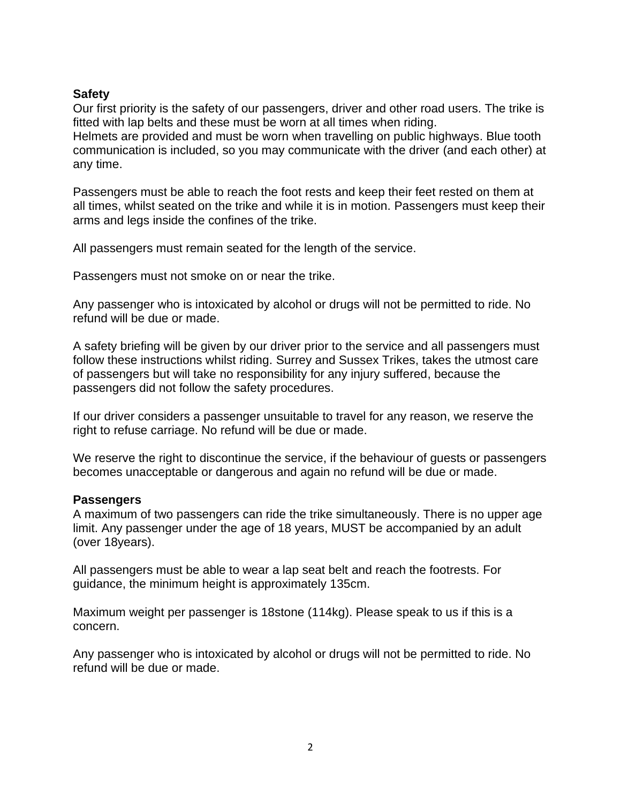#### **Safety**

Our first priority is the safety of our passengers, driver and other road users. The trike is fitted with lap belts and these must be worn at all times when riding. Helmets are provided and must be worn when travelling on public highways. Blue tooth

communication is included, so you may communicate with the driver (and each other) at any time.

Passengers must be able to reach the foot rests and keep their feet rested on them at all times, whilst seated on the trike and while it is in motion. Passengers must keep their arms and legs inside the confines of the trike.

All passengers must remain seated for the length of the service.

Passengers must not smoke on or near the trike.

Any passenger who is intoxicated by alcohol or drugs will not be permitted to ride. No refund will be due or made.

A safety briefing will be given by our driver prior to the service and all passengers must follow these instructions whilst riding. Surrey and Sussex Trikes, takes the utmost care of passengers but will take no responsibility for any injury suffered, because the passengers did not follow the safety procedures.

If our driver considers a passenger unsuitable to travel for any reason, we reserve the right to refuse carriage. No refund will be due or made.

We reserve the right to discontinue the service, if the behaviour of guests or passengers becomes unacceptable or dangerous and again no refund will be due or made.

#### **Passengers**

A maximum of two passengers can ride the trike simultaneously. There is no upper age limit. Any passenger under the age of 18 years, MUST be accompanied by an adult (over 18years).

All passengers must be able to wear a lap seat belt and reach the footrests. For guidance, the minimum height is approximately 135cm.

Maximum weight per passenger is 18stone (114kg). Please speak to us if this is a concern.

Any passenger who is intoxicated by alcohol or drugs will not be permitted to ride. No refund will be due or made.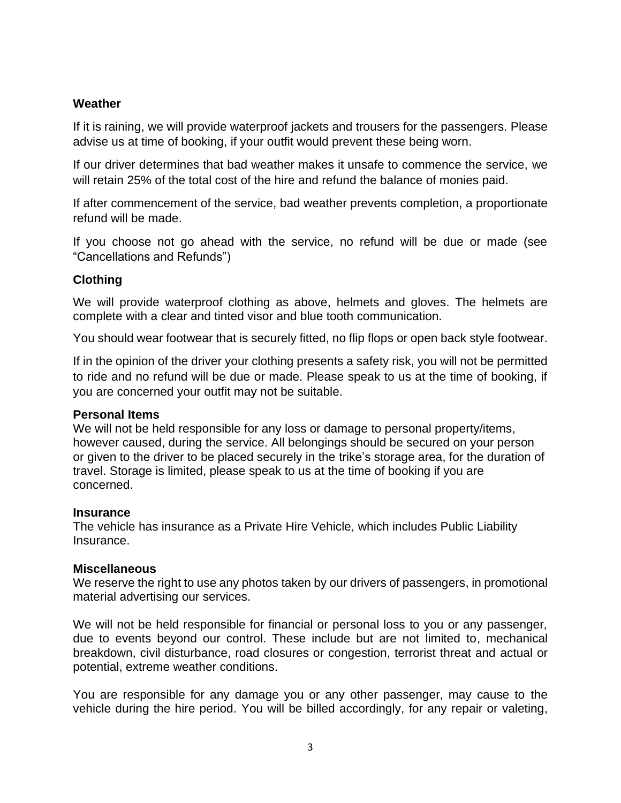### **Weather**

If it is raining, we will provide waterproof jackets and trousers for the passengers. Please advise us at time of booking, if your outfit would prevent these being worn.

If our driver determines that bad weather makes it unsafe to commence the service, we will retain 25% of the total cost of the hire and refund the balance of monies paid.

If after commencement of the service, bad weather prevents completion, a proportionate refund will be made.

If you choose not go ahead with the service, no refund will be due or made (see "Cancellations and Refunds")

## **Clothing**

We will provide waterproof clothing as above, helmets and gloves. The helmets are complete with a clear and tinted visor and blue tooth communication.

You should wear footwear that is securely fitted, no flip flops or open back style footwear.

If in the opinion of the driver your clothing presents a safety risk, you will not be permitted to ride and no refund will be due or made. Please speak to us at the time of booking, if you are concerned your outfit may not be suitable.

#### **Personal Items**

We will not be held responsible for any loss or damage to personal property/items, however caused, during the service. All belongings should be secured on your person or given to the driver to be placed securely in the trike's storage area, for the duration of travel. Storage is limited, please speak to us at the time of booking if you are concerned.

#### **Insurance**

The vehicle has insurance as a Private Hire Vehicle, which includes Public Liability Insurance.

#### **Miscellaneous**

We reserve the right to use any photos taken by our drivers of passengers, in promotional material advertising our services.

We will not be held responsible for financial or personal loss to you or any passenger, due to events beyond our control. These include but are not limited to, mechanical breakdown, civil disturbance, road closures or congestion, terrorist threat and actual or potential, extreme weather conditions.

You are responsible for any damage you or any other passenger, may cause to the vehicle during the hire period. You will be billed accordingly, for any repair or valeting,